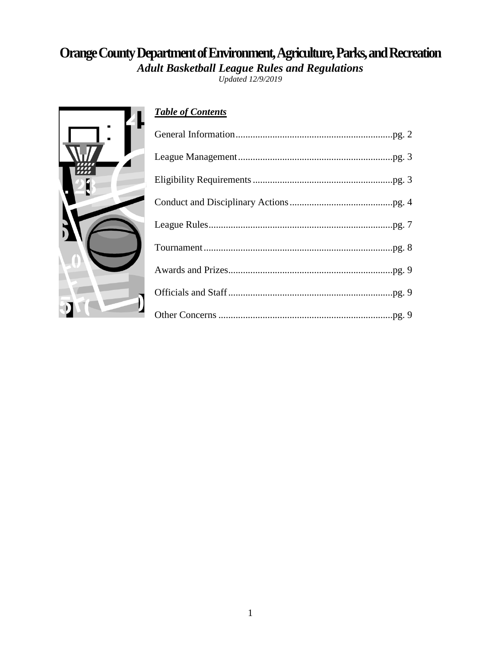# **Orange County Department of Environment, Agriculture, Parks, and Recreation**

*Adult Basketball League Rules and Regulations*

*Updated 12/9/2019*



# *Table of Contents*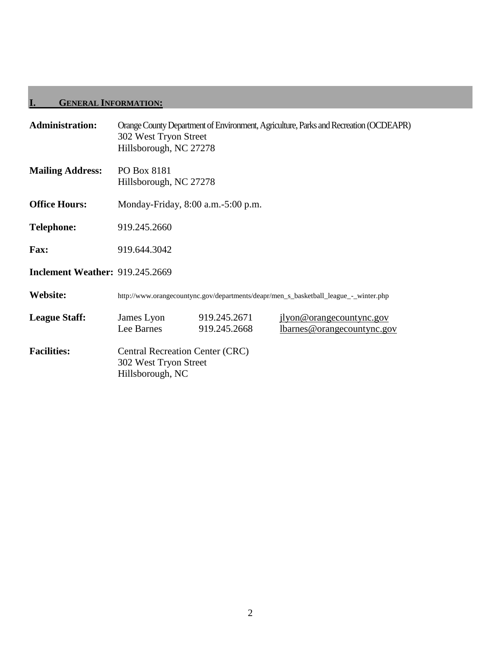# **I. GENERAL INFORMATION:**

| <b>Administration:</b>                 | 302 West Tryon Street<br>Hillsborough, NC 27278                                      |                              | Orange County Department of Environment, Agriculture, Parks and Recreation (OCDEAPR) |  |  |
|----------------------------------------|--------------------------------------------------------------------------------------|------------------------------|--------------------------------------------------------------------------------------|--|--|
| <b>Mailing Address:</b>                | PO Box 8181<br>Hillsborough, NC 27278                                                |                              |                                                                                      |  |  |
| <b>Office Hours:</b>                   | Monday-Friday, 8:00 a.m. - 5:00 p.m.                                                 |                              |                                                                                      |  |  |
| <b>Telephone:</b>                      | 919.245.2660                                                                         |                              |                                                                                      |  |  |
| Fax:                                   | 919.644.3042                                                                         |                              |                                                                                      |  |  |
| <b>Inclement Weather: 919.245.2669</b> |                                                                                      |                              |                                                                                      |  |  |
| Website:                               | http://www.orangecountync.gov/departments/deapr/men_s_basketball_league_-_winter.php |                              |                                                                                      |  |  |
| <b>League Staff:</b>                   | James Lyon<br>Lee Barnes                                                             | 919.245.2671<br>919.245.2668 | jlyon@orangecountync.gov<br><u>lbarnes@orangecountync.gov</u>                        |  |  |
| <b>Facilities:</b>                     | <b>Central Recreation Center (CRC)</b><br>302 West Tryon Street<br>Hillsborough, NC  |                              |                                                                                      |  |  |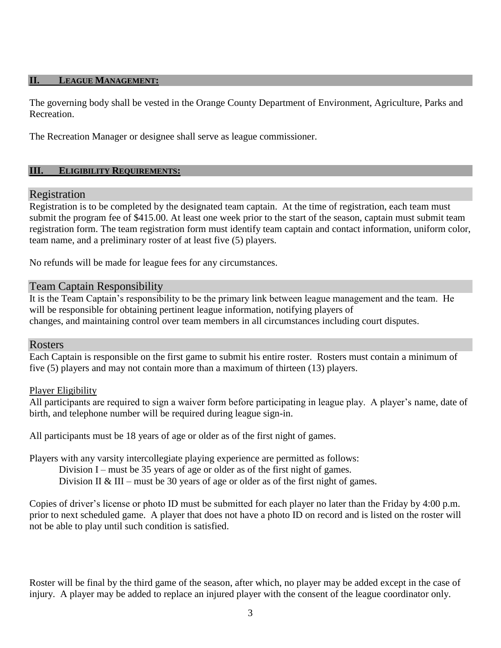#### **II. LEAGUE MANAGEMENT:**

The governing body shall be vested in the Orange County Department of Environment, Agriculture, Parks and Recreation.

The Recreation Manager or designee shall serve as league commissioner.

#### **III. ELIGIBILITY REQUIREMENTS:**

## Registration

Registration is to be completed by the designated team captain. At the time of registration, each team must submit the program fee of \$415.00. At least one week prior to the start of the season, captain must submit team registration form. The team registration form must identify team captain and contact information, uniform color, team name, and a preliminary roster of at least five (5) players.

No refunds will be made for league fees for any circumstances.

#### Team Captain Responsibility

It is the Team Captain's responsibility to be the primary link between league management and the team. He will be responsible for obtaining pertinent league information, notifying players of changes, and maintaining control over team members in all circumstances including court disputes.

#### Rosters

Each Captain is responsible on the first game to submit his entire roster. Rosters must contain a minimum of five (5) players and may not contain more than a maximum of thirteen (13) players.

#### Player Eligibility

All participants are required to sign a waiver form before participating in league play. A player's name, date of birth, and telephone number will be required during league sign-in.

All participants must be 18 years of age or older as of the first night of games.

Players with any varsity intercollegiate playing experience are permitted as follows:

Division I – must be 35 years of age or older as of the first night of games.

Division II & III – must be 30 years of age or older as of the first night of games.

Copies of driver's license or photo ID must be submitted for each player no later than the Friday by 4:00 p.m. prior to next scheduled game. A player that does not have a photo ID on record and is listed on the roster will not be able to play until such condition is satisfied.

Roster will be final by the third game of the season, after which, no player may be added except in the case of injury. A player may be added to replace an injured player with the consent of the league coordinator only.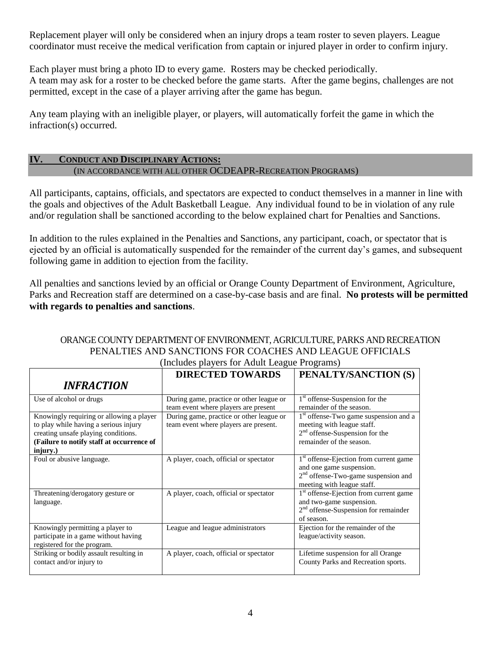Replacement player will only be considered when an injury drops a team roster to seven players. League coordinator must receive the medical verification from captain or injured player in order to confirm injury.

Each player must bring a photo ID to every game. Rosters may be checked periodically. A team may ask for a roster to be checked before the game starts. After the game begins, challenges are not permitted, except in the case of a player arriving after the game has begun.

Any team playing with an ineligible player, or players, will automatically forfeit the game in which the infraction(s) occurred.

## **IV. CONDUCT AND DISCIPLINARY ACTIONS:** (IN ACCORDANCE WITH ALL OTHER OCDEAPR-RECREATION PROGRAMS)

All participants, captains, officials, and spectators are expected to conduct themselves in a manner in line with the goals and objectives of the Adult Basketball League. Any individual found to be in violation of any rule and/or regulation shall be sanctioned according to the below explained chart for Penalties and Sanctions.

In addition to the rules explained in the Penalties and Sanctions, any participant, coach, or spectator that is ejected by an official is automatically suspended for the remainder of the current day's games, and subsequent following game in addition to ejection from the facility.

All penalties and sanctions levied by an official or Orange County Department of Environment, Agriculture, Parks and Recreation staff are determined on a case-by-case basis and are final. **No protests will be permitted with regards to penalties and sanctions**.

#### ORANGE COUNTY DEPARTMENT OF ENVIRONMENT, AGRICULTURE, PARKS AND RECREATION PENALTIES AND SANCTIONS FOR COACHES AND LEAGUE OFFICIALS (Includes players for Adult League Programs)

|                                                                                                                                                                                   | <b>DIRECTED TOWARDS</b>                                                           | PENALTY/SANCTION (S)                                                                                                                                  |
|-----------------------------------------------------------------------------------------------------------------------------------------------------------------------------------|-----------------------------------------------------------------------------------|-------------------------------------------------------------------------------------------------------------------------------------------------------|
| <b>INFRACTION</b>                                                                                                                                                                 |                                                                                   |                                                                                                                                                       |
| Use of alcohol or drugs                                                                                                                                                           | During game, practice or other league or<br>team event where players are present  | 1 <sup>st</sup> offense-Suspension for the<br>remainder of the season.                                                                                |
| Knowingly requiring or allowing a player<br>to play while having a serious injury<br>creating unsafe playing conditions.<br>(Failure to notify staff at occurrence of<br>injury.) | During game, practice or other league or<br>team event where players are present. | 1 <sup>st</sup> offense-Two game suspension and a<br>meeting with league staff.<br>$2nd$ offense-Suspension for the<br>remainder of the season.       |
| Foul or abusive language.                                                                                                                                                         | A player, coach, official or spectator                                            | 1 <sup>st</sup> offense-Ejection from current game<br>and one game suspension.<br>$2nd$ offense-Two-game suspension and<br>meeting with league staff. |
| Threatening/derogatory gesture or<br>language.                                                                                                                                    | A player, coach, official or spectator                                            | 1 <sup>st</sup> offense-Ejection from current game<br>and two-game suspension.<br>$2nd$ offense-Suspension for remainder<br>of season.                |
| Knowingly permitting a player to<br>participate in a game without having<br>registered for the program.                                                                           | League and league administrators                                                  | Ejection for the remainder of the<br>league/activity season.                                                                                          |
| Striking or bodily assault resulting in<br>contact and/or injury to                                                                                                               | A player, coach, official or spectator                                            | Lifetime suspension for all Orange<br>County Parks and Recreation sports.                                                                             |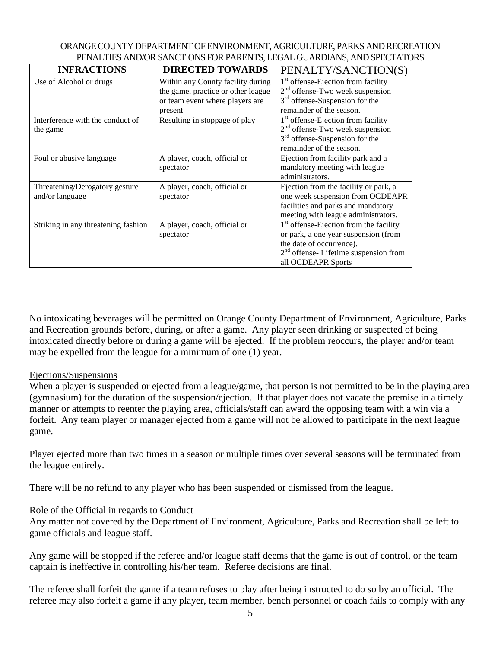| ORANGE COUNTY DEPARTMENT OF ENVIRONMENT. AGRICULTURE, PARKS AND RECREATION |
|----------------------------------------------------------------------------|
| PENALTIES AND/OR SANCTIONS FOR PARENTS, LEGAL GUARDIANS, AND SPECTATORS    |

| <b>INFRACTIONS</b>                  | <b>DIRECTED TOWARDS</b>            | PENALTY/SANCTION(S)                            |
|-------------------------------------|------------------------------------|------------------------------------------------|
| Use of Alcohol or drugs             | Within any County facility during  | 1 <sup>st</sup> offense-Ejection from facility |
|                                     | the game, practice or other league | $2nd$ offense-Two week suspension              |
|                                     | or team event where players are    | 3 <sup>rd</sup> offense-Suspension for the     |
|                                     | present                            | remainder of the season.                       |
| Interference with the conduct of    | Resulting in stoppage of play      | $1st$ offense-Ejection from facility           |
| the game                            |                                    | $2nd$ offense-Two week suspension              |
|                                     |                                    | $3rd$ offense-Suspension for the               |
|                                     |                                    | remainder of the season.                       |
| Foul or abusive language            | A player, coach, official or       | Ejection from facility park and a              |
|                                     | spectator                          | mandatory meeting with league                  |
|                                     |                                    | administrators.                                |
| Threatening/Derogatory gesture      | A player, coach, official or       | Ejection from the facility or park, a          |
| and/or language                     | spectator                          | one week suspension from OCDEAPR               |
|                                     |                                    | facilities and parks and mandatory             |
|                                     |                                    | meeting with league administrators.            |
| Striking in any threatening fashion | A player, coach, official or       | $1st$ offense-Ejection from the facility       |
|                                     | spectator                          | or park, a one year suspension (from           |
|                                     |                                    | the date of occurrence).                       |
|                                     |                                    | $2nd$ offense-Lifetime suspension from         |
|                                     |                                    | all OCDEAPR Sports                             |

No intoxicating beverages will be permitted on Orange County Department of Environment, Agriculture, Parks and Recreation grounds before, during, or after a game. Any player seen drinking or suspected of being intoxicated directly before or during a game will be ejected. If the problem reoccurs, the player and/or team may be expelled from the league for a minimum of one (1) year.

#### Ejections/Suspensions

When a player is suspended or ejected from a league/game, that person is not permitted to be in the playing area (gymnasium) for the duration of the suspension/ejection. If that player does not vacate the premise in a timely manner or attempts to reenter the playing area, officials/staff can award the opposing team with a win via a forfeit. Any team player or manager ejected from a game will not be allowed to participate in the next league game.

Player ejected more than two times in a season or multiple times over several seasons will be terminated from the league entirely.

There will be no refund to any player who has been suspended or dismissed from the league.

#### Role of the Official in regards to Conduct

Any matter not covered by the Department of Environment, Agriculture, Parks and Recreation shall be left to game officials and league staff.

Any game will be stopped if the referee and/or league staff deems that the game is out of control, or the team captain is ineffective in controlling his/her team. Referee decisions are final.

The referee shall forfeit the game if a team refuses to play after being instructed to do so by an official. The referee may also forfeit a game if any player, team member, bench personnel or coach fails to comply with any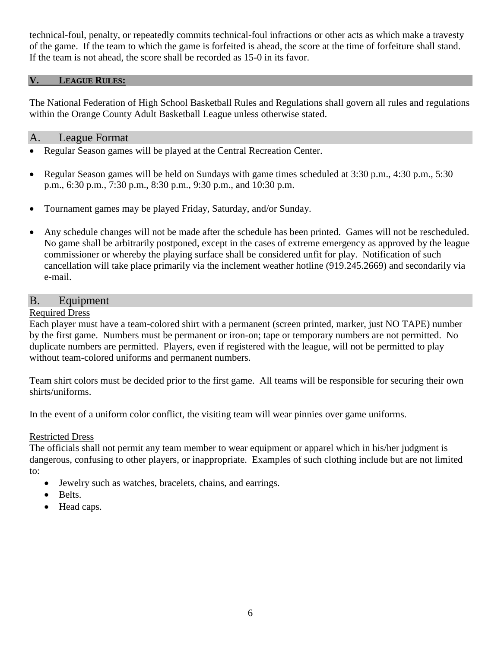technical-foul, penalty, or repeatedly commits technical-foul infractions or other acts as which make a travesty of the game. If the team to which the game is forfeited is ahead, the score at the time of forfeiture shall stand. If the team is not ahead, the score shall be recorded as 15-0 in its favor.

#### **V. LEAGUE RULES:**

The National Federation of High School Basketball Rules and Regulations shall govern all rules and regulations within the Orange County Adult Basketball League unless otherwise stated.

#### A. League Format

- Regular Season games will be played at the Central Recreation Center.
- Regular Season games will be held on Sundays with game times scheduled at  $3:30$  p.m.,  $4:30$  p.m.,  $5:30$ p.m., 6:30 p.m., 7:30 p.m., 8:30 p.m., 9:30 p.m., and 10:30 p.m.
- Tournament games may be played Friday, Saturday, and/or Sunday.
- Any schedule changes will not be made after the schedule has been printed. Games will not be rescheduled. No game shall be arbitrarily postponed, except in the cases of extreme emergency as approved by the league commissioner or whereby the playing surface shall be considered unfit for play. Notification of such cancellation will take place primarily via the inclement weather hotline (919.245.2669) and secondarily via e-mail.

## B. Equipment

#### Required Dress

Each player must have a team-colored shirt with a permanent (screen printed, marker, just NO TAPE) number by the first game. Numbers must be permanent or iron-on; tape or temporary numbers are not permitted. No duplicate numbers are permitted. Players, even if registered with the league, will not be permitted to play without team-colored uniforms and permanent numbers.

Team shirt colors must be decided prior to the first game. All teams will be responsible for securing their own shirts/uniforms.

In the event of a uniform color conflict, the visiting team will wear pinnies over game uniforms.

#### Restricted Dress

The officials shall not permit any team member to wear equipment or apparel which in his/her judgment is dangerous, confusing to other players, or inappropriate. Examples of such clothing include but are not limited to:

- Jewelry such as watches, bracelets, chains, and earrings.
- Belts.
- Head caps.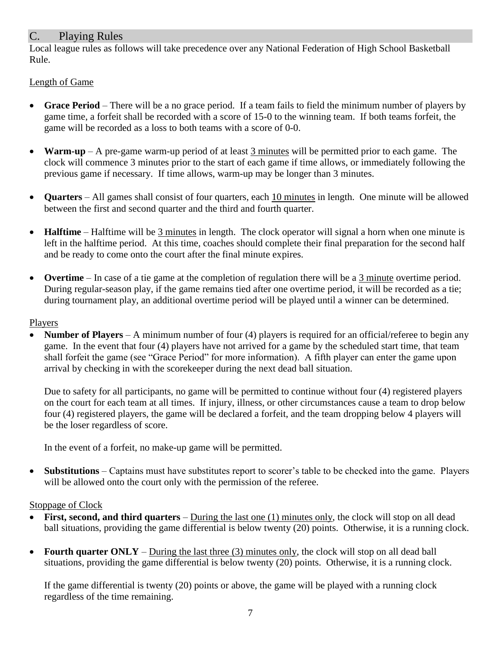# C. Playing Rules

Local league rules as follows will take precedence over any National Federation of High School Basketball Rule.

## Length of Game

- **Grace Period** There will be a no grace period. If a team fails to field the minimum number of players by game time, a forfeit shall be recorded with a score of 15-0 to the winning team. If both teams forfeit, the game will be recorded as a loss to both teams with a score of 0-0.
- **Warm-up** A pre-game warm-up period of at least 3 minutes will be permitted prior to each game. The clock will commence 3 minutes prior to the start of each game if time allows, or immediately following the previous game if necessary. If time allows, warm-up may be longer than 3 minutes.
- **Quarters** All games shall consist of four quarters, each 10 minutes in length. One minute will be allowed between the first and second quarter and the third and fourth quarter.
- **Halftime** Halftime will be 3 minutes in length. The clock operator will signal a horn when one minute is left in the halftime period. At this time, coaches should complete their final preparation for the second half and be ready to come onto the court after the final minute expires.
- **Overtime** In case of a tie game at the completion of regulation there will be a 3 minute overtime period. During regular-season play, if the game remains tied after one overtime period, it will be recorded as a tie; during tournament play, an additional overtime period will be played until a winner can be determined.

## Players

 **Number of Players** – A minimum number of four (4) players is required for an official/referee to begin any game. In the event that four (4) players have not arrived for a game by the scheduled start time, that team shall forfeit the game (see "Grace Period" for more information). A fifth player can enter the game upon arrival by checking in with the scorekeeper during the next dead ball situation.

Due to safety for all participants, no game will be permitted to continue without four (4) registered players on the court for each team at all times. If injury, illness, or other circumstances cause a team to drop below four (4) registered players, the game will be declared a forfeit, and the team dropping below 4 players will be the loser regardless of score.

In the event of a forfeit, no make-up game will be permitted.

 **Substitutions** – Captains must have substitutes report to scorer's table to be checked into the game. Players will be allowed onto the court only with the permission of the referee.

# Stoppage of Clock

- **First, second, and third quarters** During the last one (1) minutes only, the clock will stop on all dead ball situations, providing the game differential is below twenty (20) points. Otherwise, it is a running clock.
- **Fourth quarter ONLY** During the last three (3) minutes only, the clock will stop on all dead ball situations, providing the game differential is below twenty (20) points. Otherwise, it is a running clock.

If the game differential is twenty (20) points or above, the game will be played with a running clock regardless of the time remaining.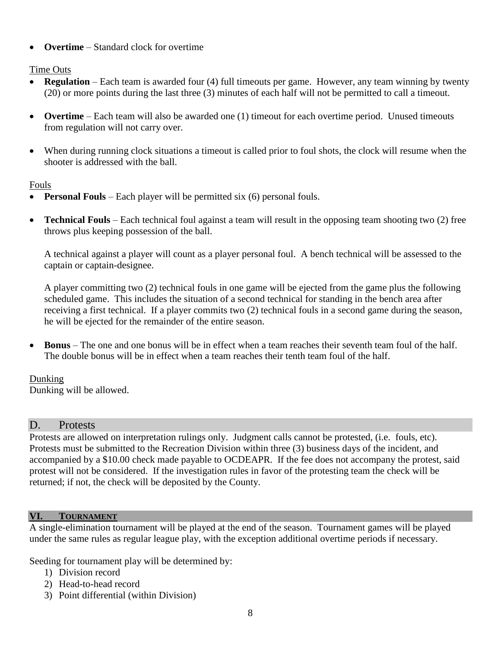**Overtime** – Standard clock for overtime

Time Outs

- **Regulation** Each team is awarded four (4) full timeouts per game. However, any team winning by twenty (20) or more points during the last three (3) minutes of each half will not be permitted to call a timeout.
- **Overtime** Each team will also be awarded one (1) timeout for each overtime period. Unused timeouts from regulation will not carry over.
- When during running clock situations a timeout is called prior to foul shots, the clock will resume when the shooter is addressed with the ball.

Fouls

- **Personal Fouls** Each player will be permitted six (6) personal fouls.
- **Technical Fouls** Each technical foul against a team will result in the opposing team shooting two (2) free throws plus keeping possession of the ball.

A technical against a player will count as a player personal foul. A bench technical will be assessed to the captain or captain-designee.

A player committing two (2) technical fouls in one game will be ejected from the game plus the following scheduled game. This includes the situation of a second technical for standing in the bench area after receiving a first technical. If a player commits two (2) technical fouls in a second game during the season, he will be ejected for the remainder of the entire season.

 **Bonus** – The one and one bonus will be in effect when a team reaches their seventh team foul of the half. The double bonus will be in effect when a team reaches their tenth team foul of the half.

Dunking Dunking will be allowed.

# D. Protests

Protests are allowed on interpretation rulings only. Judgment calls cannot be protested, (i.e. fouls, etc). Protests must be submitted to the Recreation Division within three (3) business days of the incident, and accompanied by a \$10.00 check made payable to OCDEAPR. If the fee does not accompany the protest, said protest will not be considered. If the investigation rules in favor of the protesting team the check will be returned; if not, the check will be deposited by the County.

# **VI. TOURNAMENT**

A single-elimination tournament will be played at the end of the season. Tournament games will be played under the same rules as regular league play, with the exception additional overtime periods if necessary.

Seeding for tournament play will be determined by:

- 1) Division record
- 2) Head-to-head record
- 3) Point differential (within Division)